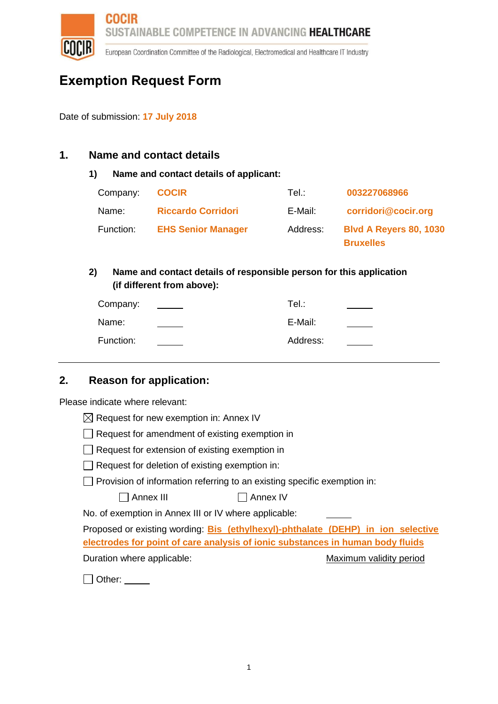

European Coordination Committee of the Radiological, Electromedical and Healthcare IT Industry

# **Exemption Request Form**

Date of submission: **17 July 2018**

### **1. Name and contact details**

#### **1) Name and contact details of applicant:**

| Company:  | <b>COCIR</b>              | Tel∴     | 003227068966                                      |
|-----------|---------------------------|----------|---------------------------------------------------|
| Name:     | <b>Riccardo Corridori</b> | E-Mail:  | corridori@cocir.org                               |
| Function: | <b>EHS Senior Manager</b> | Address: | <b>Blvd A Reyers 80, 1030</b><br><b>Bruxelles</b> |

### **2) Name and contact details of responsible person for this application (if different from above):**

| Company:  | Tel.∶    |  |
|-----------|----------|--|
| Name:     | E-Mail:  |  |
| Function: | Address: |  |

### **2. Reason for application:**

Please indicate where relevant:

- $\Box$  Request for amendment of existing exemption in
- $\Box$  Request for extension of existing exemption in
- $\Box$  Request for deletion of existing exemption in:
- □ Provision of information referring to an existing specific exemption in:

| $\Box$ Annex III | $\Box$ Annex IV |
|------------------|-----------------|
|------------------|-----------------|

No. of exemption in Annex III or IV where applicable:

Proposed or existing wording: **Bis (ethylhexyl)-phthalate (DEHP) in ion selective electrodes for point of care analysis of ionic substances in human body fluids** Duration where applicable: Maximum validity period

 $\Box$  Other:  $\_\_\_\_\_\_\_\_\$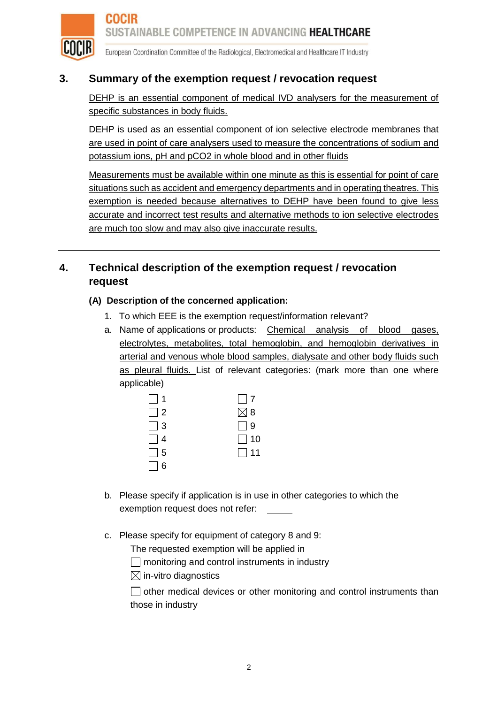

European Coordination Committee of the Radiological, Electromedical and Healthcare IT Industry

### **3. Summary of the exemption request / revocation request**

DEHP is an essential component of medical IVD analysers for the measurement of specific substances in body fluids.

DEHP is used as an essential component of ion selective electrode membranes that are used in point of care analysers used to measure the concentrations of sodium and potassium ions, pH and pCO2 in whole blood and in other fluids

Measurements must be available within one minute as this is essential for point of care situations such as accident and emergency departments and in operating theatres. This exemption is needed because alternatives to DEHP have been found to give less accurate and incorrect test results and alternative methods to ion selective electrodes are much too slow and may also give inaccurate results.

## **4. Technical description of the exemption request / revocation request**

#### **(A) Description of the concerned application:**

- 1. To which EEE is the exemption request/information relevant?
- a. Name of applications or products: Chemical analysis of blood gases, electrolytes, metabolites, total hemoglobin, and hemoglobin derivatives in arterial and venous whole blood samples, dialysate and other body fluids such as pleural fluids. List of relevant categories: (mark more than one where applicable)

| $\Box$ 1 | $\Box$ 7      |
|----------|---------------|
| $\Box$ 2 | $\boxtimes$ 8 |
| $\Box$ 3 | $\Box$ 9      |
| $\Box$ 4 | $\Box$ 10     |
| $\Box$ 5 | $\Box$ 11     |
| $\Box$ 6 |               |

- b. Please specify if application is in use in other categories to which the exemption request does not refer:
- c. Please specify for equipment of category 8 and 9:

The requested exemption will be applied in

 $\Box$  monitoring and control instruments in industry

 $\boxtimes$  in-vitro diagnostics

 $\Box$  other medical devices or other monitoring and control instruments than those in industry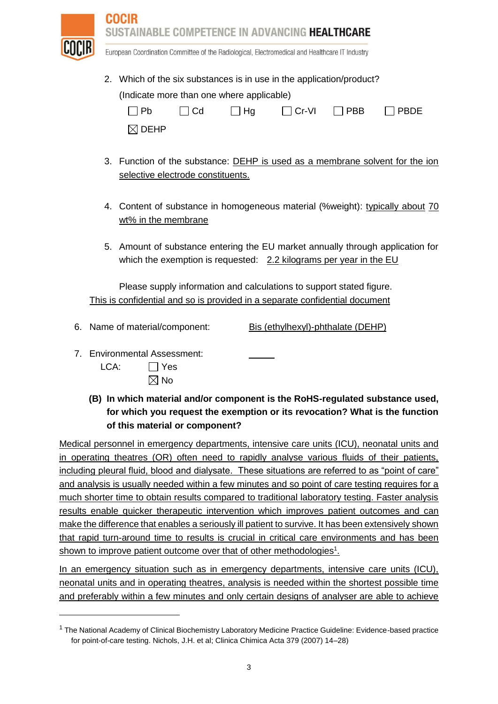

European Coordination Committee of the Radiological, Electromedical and Healthcare IT Industry

2. Which of the six substances is in use in the application/product? (Indicate more than one where applicable)  $\Box$  Pb  $\Box$  Cd  $\Box$  Hg  $\Box$  Cr-VI  $\Box$  PBB  $\Box$  PBDE

|--|

- 3. Function of the substance: DEHP is used as a membrane solvent for the ion selective electrode constituents.
- 4. Content of substance in homogeneous material (%weight): typically about 70 wt% in the membrane
- 5. Amount of substance entering the EU market annually through application for which the exemption is requested:  $2.2$  kilograms per year in the EU

Please supply information and calculations to support stated figure. This is confidential and so is provided in a separate confidential document

- 6. Name of material/component: Bis (ethylhexyl)-phthalate (DEHP)
- 7. Environmental Assessment:

- $LCA:$   $\Box$  Yes  $\boxtimes$  No
- **(B) In which material and/or component is the RoHS-regulated substance used, for which you request the exemption or its revocation? What is the function of this material or component?**

Medical personnel in emergency departments, intensive care units (ICU), neonatal units and in operating theatres (OR) often need to rapidly analyse various fluids of their patients, including pleural fluid, blood and dialysate. These situations are referred to as "point of care" and analysis is usually needed within a few minutes and so point of care testing requires for a much shorter time to obtain results compared to traditional laboratory testing. Faster analysis results enable quicker therapeutic intervention which improves patient outcomes and can make the difference that enables a seriously ill patient to survive. It has been extensively shown that rapid turn-around time to results is crucial in critical care environments and has been shown to improve patient outcome over that of other methodologies<sup>1</sup>.

In an emergency situation such as in emergency departments, intensive care units (ICU), neonatal units and in operating theatres, analysis is needed within the shortest possible time and preferably within a few minutes and only certain designs of analyser are able to achieve

<sup>1</sup> The National Academy of Clinical Biochemistry Laboratory Medicine Practice Guideline: Evidence-based practice for point-of-care testing. Nichols, J.H. et al; Clinica Chimica Acta 379 (2007) 14–28)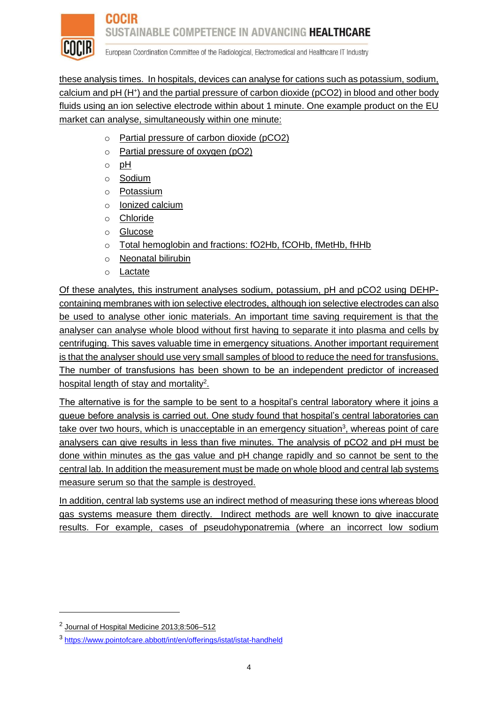

European Coordination Committee of the Radiological, Electromedical and Healthcare IT Industry

these analysis times. In hospitals, devices can analyse for cations such as potassium, sodium, calcium and pH (H<sup>+</sup>) and the partial pressure of carbon dioxide (pCO2) in blood and other body fluids using an ion selective electrode within about 1 minute. One example product on the EU market can analyse, simultaneously within one minute:

- o Partial pressure of carbon dioxide (pCO2)
- o Partial pressure of oxygen (pO2)
- o pH
- o Sodium
- o Potassium
- o lonized calcium
- o Chloride
- o Glucose
- o Total hemoglobin and fractions: fO2Hb, fCOHb, fMetHb, fHHb
- o Neonatal bilirubin
- o Lactate

Of these analytes, this instrument analyses sodium, potassium, pH and pCO2 using DEHPcontaining membranes with ion selective electrodes, although ion selective electrodes can also be used to analyse other ionic materials. An important time saving requirement is that the analyser can analyse whole blood without first having to separate it into plasma and cells by centrifuging. This saves valuable time in emergency situations. Another important requirement is that the analyser should use very small samples of blood to reduce the need for transfusions. The number of transfusions has been shown to be an independent predictor of increased hospital length of stay and mortality<sup>2</sup>.

The alternative is for the sample to be sent to a hospital's central laboratory where it joins a queue before analysis is carried out. One study found that hospital's central laboratories can take over two hours, which is unacceptable in an emergency situation<sup>3</sup>, whereas point of care analysers can give results in less than five minutes. The analysis of pCO2 and pH must be done within minutes as the gas value and pH change rapidly and so cannot be sent to the central lab. In addition the measurement must be made on whole blood and central lab systems measure serum so that the sample is destroyed.

In addition, central lab systems use an indirect method of measuring these ions whereas blood gas systems measure them directly. Indirect methods are well known to give inaccurate results. For example, cases of pseudohyponatremia (where an incorrect low sodium

 $\overline{a}$ 

<sup>&</sup>lt;sup>2</sup> Journal of Hospital Medicine 2013;8:506-512

<sup>3</sup> <https://www.pointofcare.abbott/int/en/offerings/istat/istat-handheld>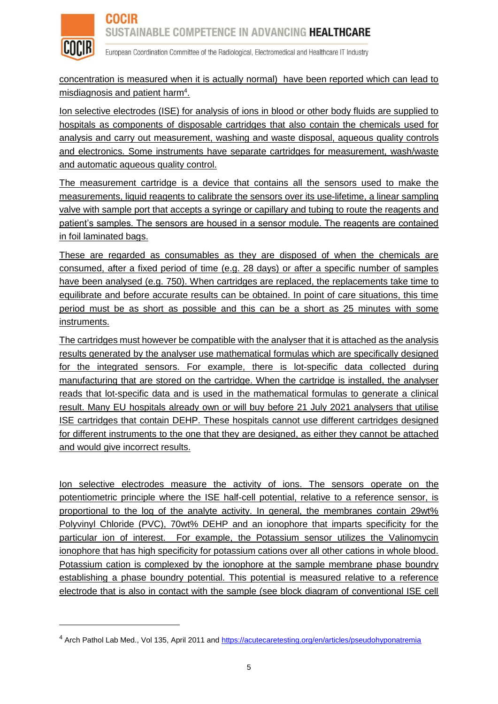

European Coordination Committee of the Radiological, Electromedical and Healthcare IT Industry

concentration is measured when it is actually normal) have been reported which can lead to misdiagnosis and patient harm<sup>4</sup>.

Ion selective electrodes (ISE) for analysis of ions in blood or other body fluids are supplied to hospitals as components of disposable cartridges that also contain the chemicals used for analysis and carry out measurement, washing and waste disposal, aqueous quality controls and electronics. Some instruments have separate cartridges for measurement, wash/waste and automatic aqueous quality control.

The measurement cartridge is a device that contains all the sensors used to make the measurements, liquid reagents to calibrate the sensors over its use-lifetime, a linear sampling valve with sample port that accepts a syringe or capillary and tubing to route the reagents and patient's samples. The sensors are housed in a sensor module. The reagents are contained in foil laminated bags.

These are regarded as consumables as they are disposed of when the chemicals are consumed, after a fixed period of time (e.g. 28 days) or after a specific number of samples have been analysed (e.g. 750). When cartridges are replaced, the replacements take time to equilibrate and before accurate results can be obtained. In point of care situations, this time period must be as short as possible and this can be a short as 25 minutes with some instruments.

The cartridges must however be compatible with the analyser that it is attached as the analysis results generated by the analyser use mathematical formulas which are specifically designed for the integrated sensors. For example, there is lot-specific data collected during manufacturing that are stored on the cartridge. When the cartridge is installed, the analyser reads that lot-specific data and is used in the mathematical formulas to generate a clinical result. Many EU hospitals already own or will buy before 21 July 2021 analysers that utilise ISE cartridges that contain DEHP. These hospitals cannot use different cartridges designed for different instruments to the one that they are designed, as either they cannot be attached and would give incorrect results.

Ion selective electrodes measure the activity of ions. The sensors operate on the potentiometric principle where the ISE half-cell potential, relative to a reference sensor, is proportional to the log of the analyte activity. In general, the membranes contain 29wt% Polyvinyl Chloride (PVC), 70wt% DEHP and an ionophore that imparts specificity for the particular ion of interest. For example, the Potassium sensor utilizes the Valinomycin ionophore that has high specificity for potassium cations over all other cations in whole blood. Potassium cation is complexed by the ionophore at the sample membrane phase boundry establishing a phase boundry potential. This potential is measured relative to a reference electrode that is also in contact with the sample (see block diagram of conventional ISE cell

<sup>4</sup> Arch Pathol Lab Med., Vol 135, April 2011 and<https://acutecaretesting.org/en/articles/pseudohyponatremia>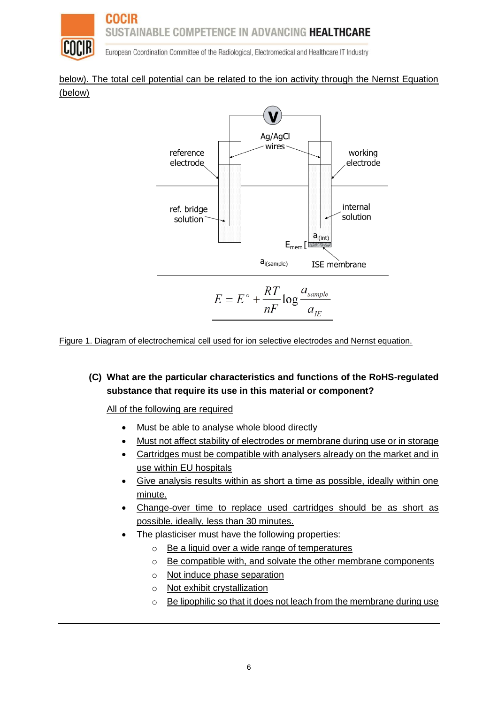

European Coordination Committee of the Radiological, Electromedical and Healthcare IT Industry

#### below). The total cell potential can be related to the ion activity through the Nernst Equation (below)



Figure 1. Diagram of electrochemical cell used for ion selective electrodes and Nernst equation.

### **(C) What are the particular characteristics and functions of the RoHS-regulated substance that require its use in this material or component?**

All of the following are required

- Must be able to analyse whole blood directly
- Must not affect stability of electrodes or membrane during use or in storage
- Cartridges must be compatible with analysers already on the market and in use within EU hospitals
- Give analysis results within as short a time as possible, ideally within one minute.
- Change-over time to replace used cartridges should be as short as possible, ideally, less than 30 minutes.
- The plasticiser must have the following properties:
	- o Be a liquid over a wide range of temperatures
	- o Be compatible with, and solvate the other membrane components
	- o Not induce phase separation
	- o Not exhibit crystallization
	- o Be lipophilic so that it does not leach from the membrane during use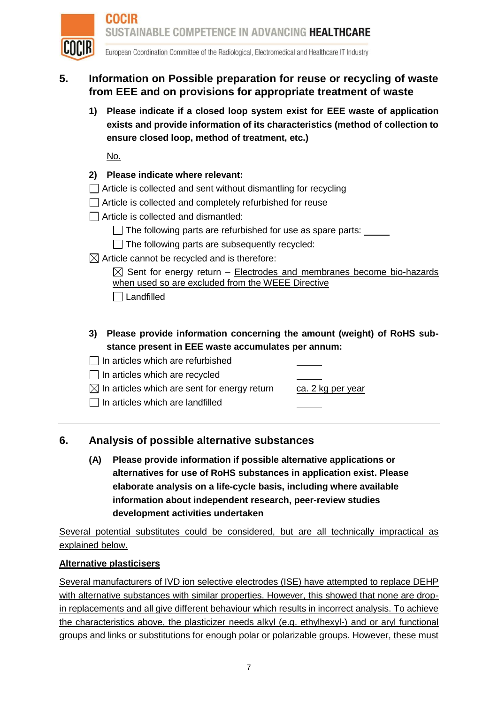

European Coordination Committee of the Radiological, Electromedical and Healthcare IT Industry

# **5. Information on Possible preparation for reuse or recycling of waste from EEE and on provisions for appropriate treatment of waste**

**1) Please indicate if a closed loop system exist for EEE waste of application exists and provide information of its characteristics (method of collection to ensure closed loop, method of treatment, etc.)**

No.

- **2) Please indicate where relevant:**
- $\Box$  Article is collected and sent without dismantling for recycling
- Article is collected and completely refurbished for reuse
- $\Box$  Article is collected and dismantled:
	- $\Box$  The following parts are refurbished for use as spare parts:  $\Box$
	- $\Box$  The following parts are subsequently recycled:  $\Box$
- $\boxtimes$  Article cannot be recycled and is therefore:

 $\boxtimes$  Sent for energy return – Electrodes and membranes become bio-hazards when used so are excluded from the WEEE Directive

□ Landfilled

- **3) Please provide information concerning the amount (weight) of RoHS substance present in EEE waste accumulates per annum:**
- $\Box$  In articles which are refurbished
- $\Box$  In articles which are recycled

 $\boxtimes$  In articles which are sent for energy return ca. 2 kg per year

 $\Box$  In articles which are landfilled

### **6. Analysis of possible alternative substances**

**(A) Please provide information if possible alternative applications or alternatives for use of RoHS substances in application exist. Please elaborate analysis on a life-cycle basis, including where available information about independent research, peer-review studies development activities undertaken**

Several potential substitutes could be considered, but are all technically impractical as explained below.

#### **Alternative plasticisers**

Several manufacturers of IVD ion selective electrodes (ISE) have attempted to replace DEHP with alternative substances with similar properties. However, this showed that none are dropin replacements and all give different behaviour which results in incorrect analysis. To achieve the characteristics above, the plasticizer needs alkyl (e.g. ethylhexyl-) and or aryl functional groups and links or substitutions for enough polar or polarizable groups. However, these must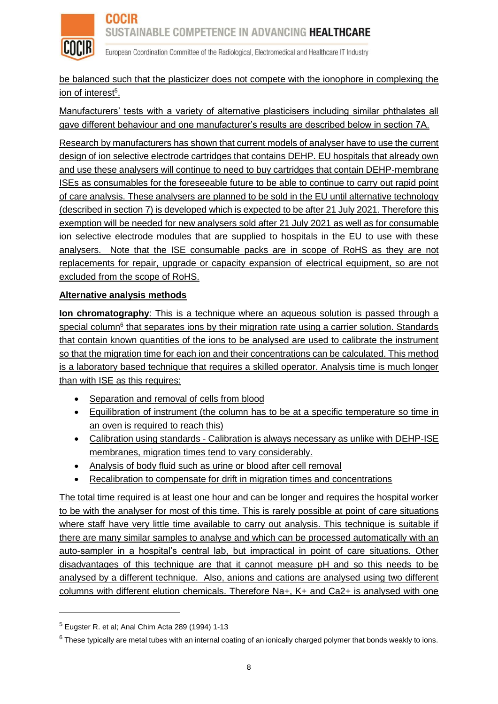

European Coordination Committee of the Radiological, Electromedical and Healthcare IT Industry

be balanced such that the plasticizer does not compete with the ionophore in complexing the ion of interest<sup>5</sup>.

Manufacturers' tests with a variety of alternative plasticisers including similar phthalates all gave different behaviour and one manufacturer's results are described below in section 7A.

Research by manufacturers has shown that current models of analyser have to use the current design of ion selective electrode cartridges that contains DEHP. EU hospitals that already own and use these analysers will continue to need to buy cartridges that contain DEHP-membrane ISEs as consumables for the foreseeable future to be able to continue to carry out rapid point of care analysis. These analysers are planned to be sold in the EU until alternative technology (described in section 7) is developed which is expected to be after 21 July 2021. Therefore this exemption will be needed for new analysers sold after 21 July 2021 as well as for consumable ion selective electrode modules that are supplied to hospitals in the EU to use with these analysers. Note that the ISE consumable packs are in scope of RoHS as they are not replacements for repair, upgrade or capacity expansion of electrical equipment, so are not excluded from the scope of RoHS.

#### **Alternative analysis methods**

**Ion chromatography**: This is a technique where an aqueous solution is passed through a special column<sup>6</sup> that separates ions by their migration rate using a carrier solution. Standards that contain known quantities of the ions to be analysed are used to calibrate the instrument so that the migration time for each ion and their concentrations can be calculated. This method is a laboratory based technique that requires a skilled operator. Analysis time is much longer than with ISE as this requires:

- Separation and removal of cells from blood
- Equilibration of instrument (the column has to be at a specific temperature so time in an oven is required to reach this)
- Calibration using standards Calibration is always necessary as unlike with DEHP-ISE membranes, migration times tend to vary considerably.
- Analysis of body fluid such as urine or blood after cell removal
- Recalibration to compensate for drift in migration times and concentrations

The total time required is at least one hour and can be longer and requires the hospital worker to be with the analyser for most of this time. This is rarely possible at point of care situations where staff have very little time available to carry out analysis. This technique is suitable if there are many similar samples to analyse and which can be processed automatically with an auto-sampler in a hospital's central lab, but impractical in point of care situations. Other disadvantages of this technique are that it cannot measure pH and so this needs to be analysed by a different technique. Also, anions and cations are analysed using two different columns with different elution chemicals. Therefore Na+, K+ and Ca2+ is analysed with one

 $\overline{a}$ 

 $<sup>5</sup>$  Eugster R. et al; Anal Chim Acta 289 (1994) 1-13</sup>

 $6$  These typically are metal tubes with an internal coating of an ionically charged polymer that bonds weakly to ions.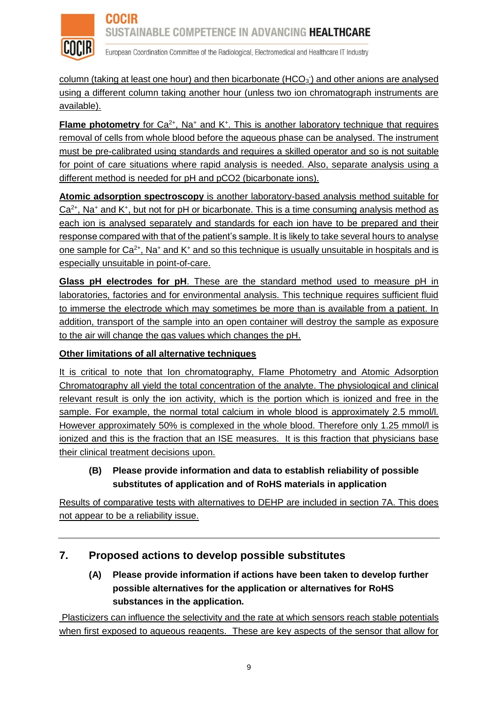

European Coordination Committee of the Radiological, Electromedical and Healthcare IT Industry

column (taking at least one hour) and then bicarbonate (HCO<sub>3</sub>) and other anions are analysed using a different column taking another hour (unless two ion chromatograph instruments are available).

**Flame photometry** for Ca<sup>2+</sup>, Na<sup>+</sup> and K<sup>+</sup>. This is another laboratory technique that requires removal of cells from whole blood before the aqueous phase can be analysed. The instrument must be pre-calibrated using standards and requires a skilled operator and so is not suitable for point of care situations where rapid analysis is needed. Also, separate analysis using a different method is needed for pH and pCO2 (bicarbonate ions).

**Atomic adsorption spectroscopy** is another laboratory-based analysis method suitable for  $Ca<sup>2+</sup>$ , Na<sup>+</sup> and K<sup>+</sup>, but not for pH or bicarbonate. This is a time consuming analysis method as each ion is analysed separately and standards for each ion have to be prepared and their response compared with that of the patient's sample. It is likely to take several hours to analyse one sample for  $Ca^{2+}$ , Na<sup>+</sup> and K<sup>+</sup> and so this technique is usually unsuitable in hospitals and is especially unsuitable in point-of-care.

**Glass pH electrodes for pH**. These are the standard method used to measure pH in laboratories, factories and for environmental analysis. This technique requires sufficient fluid to immerse the electrode which may sometimes be more than is available from a patient. In addition, transport of the sample into an open container will destroy the sample as exposure to the air will change the gas values which changes the pH.

#### **Other limitations of all alternative techniques**

It is critical to note that Ion chromatography, Flame Photometry and Atomic Adsorption Chromatography all yield the total concentration of the analyte. The physiological and clinical relevant result is only the ion activity, which is the portion which is ionized and free in the sample. For example, the normal total calcium in whole blood is approximately 2.5 mmol/l. However approximately 50% is complexed in the whole blood. Therefore only 1.25 mmol/l is ionized and this is the fraction that an ISE measures. It is this fraction that physicians base their clinical treatment decisions upon.

### **(B) Please provide information and data to establish reliability of possible substitutes of application and of RoHS materials in application**

Results of comparative tests with alternatives to DEHP are included in section 7A. This does not appear to be a reliability issue.

# **7. Proposed actions to develop possible substitutes**

### **(A) Please provide information if actions have been taken to develop further possible alternatives for the application or alternatives for RoHS substances in the application.**

Plasticizers can influence the selectivity and the rate at which sensors reach stable potentials when first exposed to aqueous reagents. These are key aspects of the sensor that allow for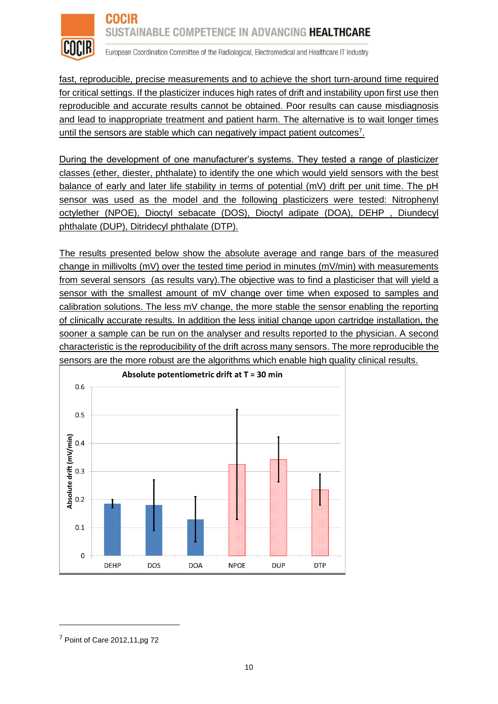

European Coordination Committee of the Radiological, Electromedical and Healthcare IT Industry

fast, reproducible, precise measurements and to achieve the short turn-around time required for critical settings. If the plasticizer induces high rates of drift and instability upon first use then reproducible and accurate results cannot be obtained. Poor results can cause misdiagnosis and lead to inappropriate treatment and patient harm. The alternative is to wait longer times until the sensors are stable which can negatively impact patient outcomes<sup>7</sup>.

During the development of one manufacturer's systems. They tested a range of plasticizer classes (ether, diester, phthalate) to identify the one which would yield sensors with the best balance of early and later life stability in terms of potential (mV) drift per unit time. The pH sensor was used as the model and the following plasticizers were tested: Nitrophenyl octylether (NPOE), Dioctyl sebacate (DOS), Dioctyl adipate (DOA), DEHP , Diundecyl phthalate (DUP), Ditridecyl phthalate (DTP).

The results presented below show the absolute average and range bars of the measured change in millivolts (mV) over the tested time period in minutes (mV/min) with measurements from several sensors (as results vary).The objective was to find a plasticiser that will yield a sensor with the smallest amount of mV change over time when exposed to samples and calibration solutions. The less mV change, the more stable the sensor enabling the reporting of clinically accurate results. In addition the less initial change upon cartridge installation, the sooner a sample can be run on the analyser and results reported to the physician. A second characteristic is the reproducibility of the drift across many sensors. The more reproducible the



sensors are the more robust are the algorithms which enable high quality clinical results.

<sup>7</sup> Point of Care 2012,11,pg 72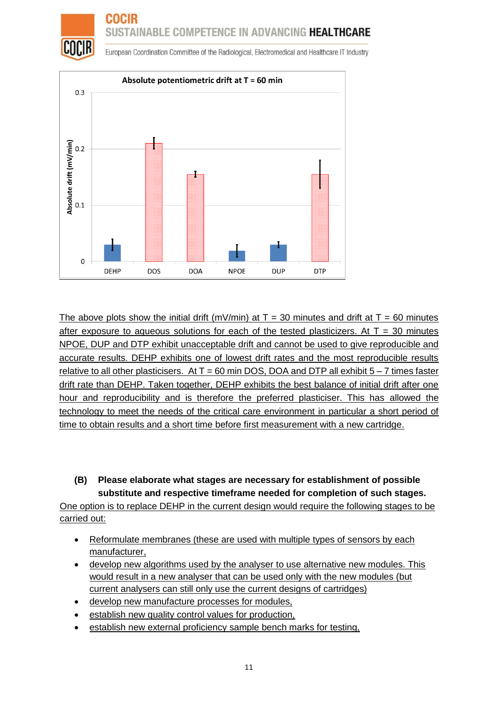

European Coordination Committee of the Radiological, Electromedical and Healthcare IT Industry



The above plots show the initial drift (mV/min) at  $T = 30$  minutes and drift at  $T = 60$  minutes after exposure to aqueous solutions for each of the tested plasticizers. At  $T = 30$  minutes NPOE, DUP and DTP exhibit unacceptable drift and cannot be used to give reproducible and accurate results. DEHP exhibits one of lowest drift rates and the most reproducible results relative to all other plasticisers. At  $T = 60$  min DOS, DOA and DTP all exhibit  $5 - 7$  times faster drift rate than DEHP. Taken together, DEHP exhibits the best balance of initial drift after one hour and reproducibility and is therefore the preferred plasticiser. This has allowed the technology to meet the needs of the critical care environment in particular a short period of time to obtain results and a short time before first measurement with a new cartridge.

### **(B) Please elaborate what stages are necessary for establishment of possible substitute and respective timeframe needed for completion of such stages.**

One option is to replace DEHP in the current design would require the following stages to be carried out:

- Reformulate membranes (these are used with multiple types of sensors by each manufacturer,
- develop new algorithms used by the analyser to use alternative new modules. This would result in a new analyser that can be used only with the new modules (but current analysers can still only use the current designs of cartridges)
- develop new manufacture processes for modules,
- establish new quality control values for production,
- establish new external proficiency sample bench marks for testing,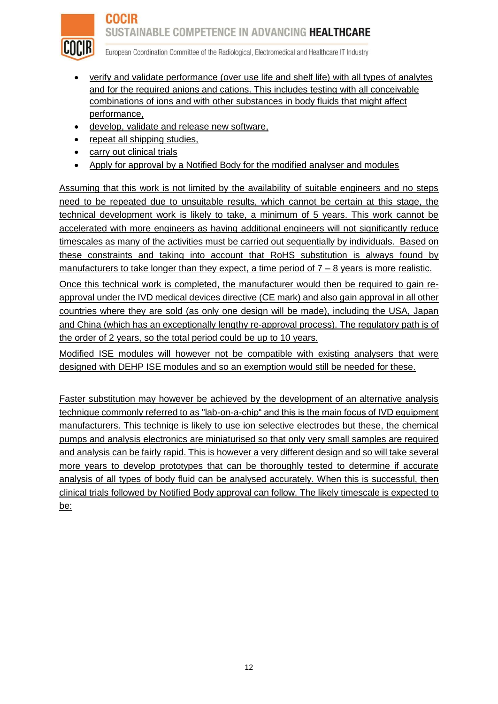

European Coordination Committee of the Radiological, Electromedical and Healthcare IT Industry

- verify and validate performance (over use life and shelf life) with all types of analytes and for the required anions and cations. This includes testing with all conceivable combinations of ions and with other substances in body fluids that might affect performance,
- develop, validate and release new software,
- repeat all shipping studies,
- carry out clinical trials
- Apply for approval by a Notified Body for the modified analyser and modules

Assuming that this work is not limited by the availability of suitable engineers and no steps need to be repeated due to unsuitable results, which cannot be certain at this stage, the technical development work is likely to take, a minimum of 5 years. This work cannot be accelerated with more engineers as having additional engineers will not significantly reduce timescales as many of the activities must be carried out sequentially by individuals. Based on these constraints and taking into account that RoHS substitution is always found by manufacturers to take longer than they expect, a time period of  $7 - 8$  years is more realistic.

Once this technical work is completed, the manufacturer would then be required to gain reapproval under the IVD medical devices directive (CE mark) and also gain approval in all other countries where they are sold (as only one design will be made), including the USA, Japan and China (which has an exceptionally lengthy re-approval process). The regulatory path is of the order of 2 years, so the total period could be up to 10 years.

Modified ISE modules will however not be compatible with existing analysers that were designed with DEHP ISE modules and so an exemption would still be needed for these.

Faster substitution may however be achieved by the development of an alternative analysis technique commonly referred to as "lab-on-a-chip" and this is the main focus of IVD equipment manufacturers. This techniqe is likely to use ion selective electrodes but these, the chemical pumps and analysis electronics are miniaturised so that only very small samples are required and analysis can be fairly rapid. This is however a very different design and so will take several more years to develop prototypes that can be thoroughly tested to determine if accurate analysis of all types of body fluid can be analysed accurately. When this is successful, then clinical trials followed by Notified Body approval can follow. The likely timescale is expected to be: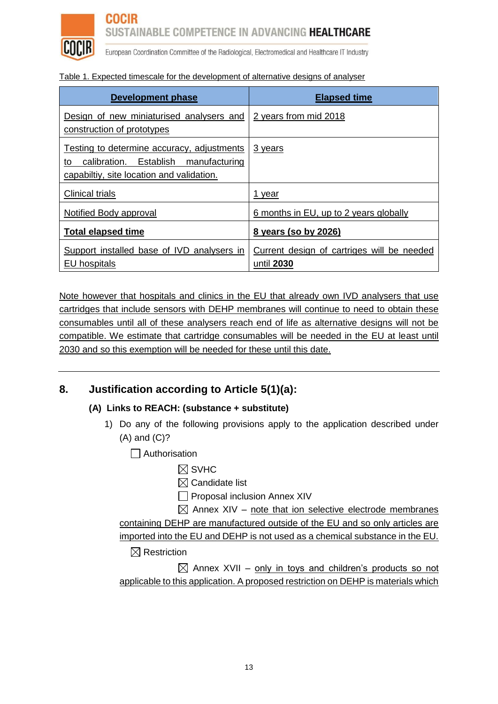

**COCIR** 

# SUSTAINABLE COMPETENCE IN ADVANCING HEALTHCARE

European Coordination Committee of the Radiological, Electromedical and Healthcare IT Industry

#### Table 1. Expected timescale for the development of alternative designs of analyser

| <b>Development phase</b>                                                                                                              | <b>Elapsed time</b>                                      |  |
|---------------------------------------------------------------------------------------------------------------------------------------|----------------------------------------------------------|--|
| Design of new miniaturised analysers and<br>construction of prototypes                                                                | 2 years from mid 2018                                    |  |
| Testing to determine accuracy, adjustments<br>calibration. Establish manufacturing<br>to<br>capabiltiy, site location and validation. | 3 years                                                  |  |
| <b>Clinical trials</b>                                                                                                                | 1 year                                                   |  |
| Notified Body approval                                                                                                                | 6 months in EU, up to 2 years globally                   |  |
| <b>Total elapsed time</b>                                                                                                             | 8 years (so by 2026)                                     |  |
| Support installed base of IVD analysers in<br><b>EU</b> hospitals                                                                     | Current design of cartriges will be needed<br>until 2030 |  |

Note however that hospitals and clinics in the EU that already own IVD analysers that use cartridges that include sensors with DEHP membranes will continue to need to obtain these consumables until all of these analysers reach end of life as alternative designs will not be compatible. We estimate that cartridge consumables will be needed in the EU at least until 2030 and so this exemption will be needed for these until this date.

### **8. Justification according to Article 5(1)(a):**

### **(A) Links to REACH: (substance + substitute)**

1) Do any of the following provisions apply to the application described under (A) and (C)?

 $\Box$  Authorisation

 $\boxtimes$  SVHC

 $\boxtimes$  Candidate list

 $\Box$  Proposal inclusion Annex XIV

 $\boxtimes$  Annex XIV – note that ion selective electrode membranes containing DEHP are manufactured outside of the EU and so only articles are imported into the EU and DEHP is not used as a chemical substance in the EU.

 $\boxtimes$  Restriction

 $\boxtimes$  Annex XVII – only in toys and children's products so not applicable to this application. A proposed restriction on DEHP is materials which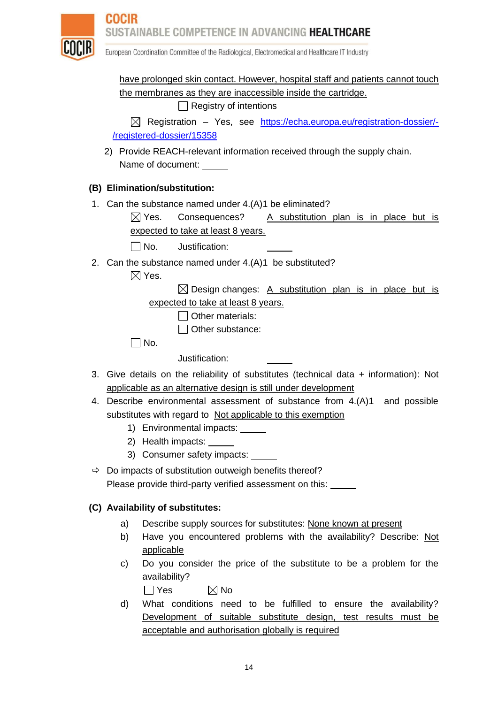

European Coordination Committee of the Radiological, Electromedical and Healthcare IT Industry

have prolonged skin contact. However, hospital staff and patients cannot touch the membranes as they are inaccessible inside the cartridge.

Registry of intentions

 $\boxtimes$  Registration – Yes, see [https://echa.europa.eu/registration-dossier/-](https://echa.europa.eu/registration-dossier/-/registered-dossier/15358) [/registered-dossier/15358](https://echa.europa.eu/registration-dossier/-/registered-dossier/15358)

2) Provide REACH-relevant information received through the supply chain. Name of document:

### **(B) Elimination/substitution:**

1. Can the substance named under 4.(A)1 be eliminated?

 $\boxtimes$  Yes. Consequences? A substitution plan is in place but is expected to take at least 8 years.

 $\Box$  No. Justification:

2. Can the substance named under 4.(A)1 be substituted?

 $\boxtimes$  Yes.

 $\boxtimes$  Design changes: A substitution plan is in place but is expected to take at least 8 years.

 $\Box$  Other materials:

 $\Box$  Other substance:

 $\Box$  No.

Justification:

- 3. Give details on the reliability of substitutes (technical data + information): Not applicable as an alternative design is still under development
- 4. Describe environmental assessment of substance from 4.(A)1 and possible substitutes with regard to Not applicable to this exemption
	- 1) Environmental impacts:
	- 2) Health impacts:
	- 3) Consumer safety impacts:
- $\Rightarrow$  Do impacts of substitution outweigh benefits thereof? Please provide third-party verified assessment on this:

#### **(C) Availability of substitutes:**

- a) Describe supply sources for substitutes: None known at present
- b) Have you encountered problems with the availability? Describe: Not applicable
- c) Do you consider the price of the substitute to be a problem for the availability?

 $\Box$  Yes  $\boxtimes$  No

d) What conditions need to be fulfilled to ensure the availability? Development of suitable substitute design, test results must be acceptable and authorisation globally is required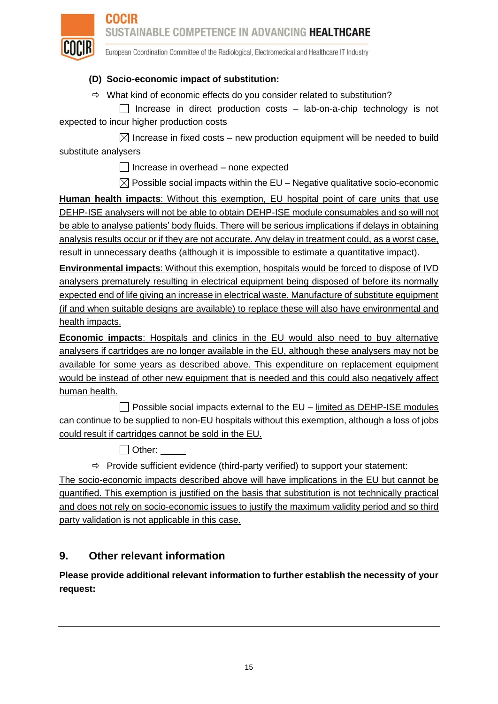

European Coordination Committee of the Radiological, Electromedical and Healthcare IT Industry

### **(D) Socio-economic impact of substitution:**

 $\Rightarrow$  What kind of economic effects do you consider related to substitution?

 $\Box$  Increase in direct production costs – lab-on-a-chip technology is not expected to incur higher production costs

 $\boxtimes$  Increase in fixed costs – new production equipment will be needed to build substitute analysers

 $\Box$  Increase in overhead – none expected

 $\boxtimes$  Possible social impacts within the EU – Negative qualitative socio-economic

**Human health impacts**: Without this exemption, EU hospital point of care units that use DEHP-ISE analysers will not be able to obtain DEHP-ISE module consumables and so will not be able to analyse patients' body fluids. There will be serious implications if delays in obtaining analysis results occur or if they are not accurate. Any delay in treatment could, as a worst case, result in unnecessary deaths (although it is impossible to estimate a quantitative impact).

**Environmental impacts**: Without this exemption, hospitals would be forced to dispose of IVD analysers prematurely resulting in electrical equipment being disposed of before its normally expected end of life giving an increase in electrical waste. Manufacture of substitute equipment (if and when suitable designs are available) to replace these will also have environmental and health impacts.

**Economic impacts**: Hospitals and clinics in the EU would also need to buy alternative analysers if cartridges are no longer available in the EU, although these analysers may not be available for some years as described above. This expenditure on replacement equipment would be instead of other new equipment that is needed and this could also negatively affect human health.

 $\Box$  Possible social impacts external to the EU – limited as DEHP-ISE modules can continue to be supplied to non-EU hospitals without this exemption, although a loss of jobs could result if cartridges cannot be sold in the EU.

□ Other:

 $\Rightarrow$  Provide sufficient evidence (third-party verified) to support your statement:

The socio-economic impacts described above will have implications in the EU but cannot be quantified. This exemption is justified on the basis that substitution is not technically practical and does not rely on socio-economic issues to justify the maximum validity period and so third party validation is not applicable in this case.

# **9. Other relevant information**

**Please provide additional relevant information to further establish the necessity of your request:**